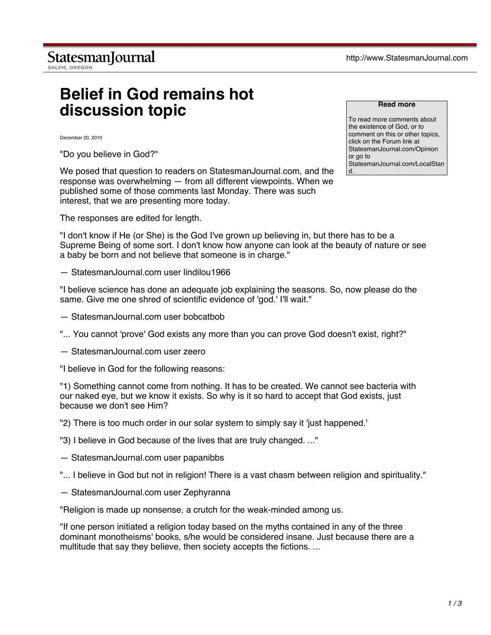## **Belief in God remains hot discussion topic**

December 20, 2010

"Do you believe in God?"

We posed that question to readers on StatesmanJournal.com, and the response was overwhelming — from all different viewpoints. When we published some of those comments last Monday. There was such interest, that we are presenting more today.

The responses are edited for length.

"I don't know if He (or She) is the God I've grown up believing in, but there has to be a Supreme Being of some sort. I don't know how anyone can look at the beauty of nature or see a baby be born and not believe that someone is in charge."

— StatesmanJournal.com user lindilou1966

"I believe science has done an adequate job explaining the seasons. So, now please do the same. Give me one shred of scientific evidence of 'god.' I'll wait."

- StatesmanJournal.com user bobcatbob
- "... You cannot 'prove' God exists any more than you can prove God doesn't exist, right?"
- StatesmanJournal.com user zeero

"I believe in God for the following reasons:

"1) Something cannot come from nothing. It has to be created. We cannot see bacteria with our naked eye, but we know it exists. So why is it so hard to accept that God exists, just because we don't see Him?

"2) There is too much order in our solar system to simply say it 'just happened.'

"3) I believe in God because of the lives that are truly changed. ..."

— StatesmanJournal.com user papanibbs

- "... I believe in God but not in religion! There is a vast chasm between religion and spirituality."
- StatesmanJournal.com user Zephyranna

"Religion is made up nonsense, a crutch for the weak-minded among us.

"If one person initiated a religion today based on the myths contained in any of the three dominant monotheisms' books, s/he would be considered insane. Just because there are a multitude that say they believe, then society accepts the fictions. ...

## **Read more**

To read more comments about the existence of God, or to comment on this or other topics, click on the Forum link at StatesmanJournal.com/Opinion or go to StatesmanJournal.com/LocalStan d.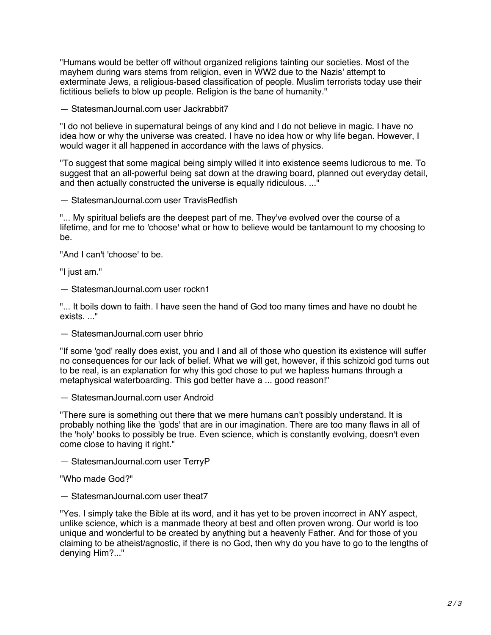"Humans would be better off without organized religions tainting our societies. Most of the mayhem during wars stems from religion, even in WW2 due to the Nazis' attempt to exterminate Jews, a religious-based classification of people. Muslim terrorists today use their fictitious beliefs to blow up people. Religion is the bane of humanity."

— StatesmanJournal.com user Jackrabbit7

"I do not believe in supernatural beings of any kind and I do not believe in magic. I have no idea how or why the universe was created. I have no idea how or why life began. However, I would wager it all happened in accordance with the laws of physics.

"To suggest that some magical being simply willed it into existence seems ludicrous to me. To suggest that an all-powerful being sat down at the drawing board, planned out everyday detail, and then actually constructed the universe is equally ridiculous. ..."

— StatesmanJournal.com user TravisRedfish

"... My spiritual beliefs are the deepest part of me. They've evolved over the course of a lifetime, and for me to 'choose' what or how to believe would be tantamount to my choosing to be.

"And I can't 'choose' to be.

"I just am."

— StatesmanJournal.com user rockn1

"... It boils down to faith. I have seen the hand of God too many times and have no doubt he exists. ..."

— StatesmanJournal.com user bhrio

"If some 'god' really does exist, you and I and all of those who question its existence will suffer no consequences for our lack of belief. What we will get, however, if this schizoid god turns out to be real, is an explanation for why this god chose to put we hapless humans through a metaphysical waterboarding. This god better have a ... good reason!"

— StatesmanJournal.com user Android

"There sure is something out there that we mere humans can't possibly understand. It is probably nothing like the 'gods' that are in our imagination. There are too many flaws in all of the 'holy' books to possibly be true. Even science, which is constantly evolving, doesn't even come close to having it right."

— StatesmanJournal.com user TerryP

"Who made God?"

— StatesmanJournal com user theat7

"Yes. I simply take the Bible at its word, and it has yet to be proven incorrect in ANY aspect, unlike science, which is a manmade theory at best and often proven wrong. Our world is too unique and wonderful to be created by anything but a heavenly Father. And for those of you claiming to be atheist/agnostic, if there is no God, then why do you have to go to the lengths of denying Him?..."